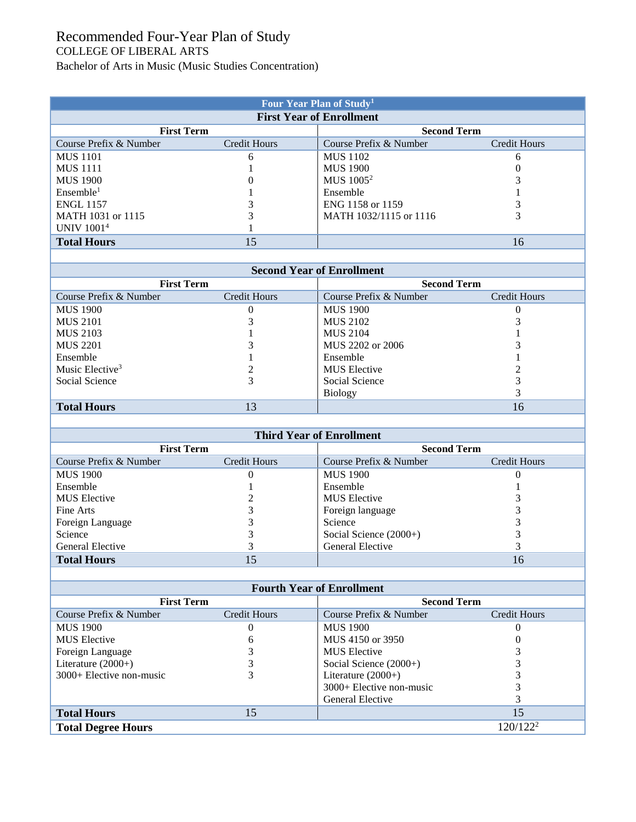## Recommended Four-Year Plan of Study COLLEGE OF LIBERAL ARTS

Bachelor of Arts in Music (Music Studies Concentration)

| Four Year Plan of Study <sup>1</sup> |                     |                        |              |  |  |  |
|--------------------------------------|---------------------|------------------------|--------------|--|--|--|
| <b>First Year of Enrollment</b>      |                     |                        |              |  |  |  |
| <b>First Term</b>                    |                     | <b>Second Term</b>     |              |  |  |  |
| Course Prefix & Number               | <b>Credit Hours</b> | Course Prefix & Number | Credit Hours |  |  |  |
| <b>MUS</b> 1101                      | 6                   | <b>MUS 1102</b>        | 6            |  |  |  |
| <b>MUS 1111</b>                      |                     | <b>MUS 1900</b>        |              |  |  |  |
| <b>MUS 1900</b>                      |                     | MUS 1005 <sup>2</sup>  |              |  |  |  |
| Ensemble <sup>1</sup>                |                     | Ensemble               |              |  |  |  |
| <b>ENGL 1157</b>                     |                     | ENG 1158 or 1159       |              |  |  |  |
| MATH 1031 or 1115                    |                     | MATH 1032/1115 or 1116 |              |  |  |  |
| <b>UNIV 10014</b>                    |                     |                        |              |  |  |  |
| <b>Total Hours</b>                   | 15                  |                        | 16           |  |  |  |
|                                      |                     |                        |              |  |  |  |

| <b>Second Year of Enrollment</b> |              |                        |              |  |  |  |
|----------------------------------|--------------|------------------------|--------------|--|--|--|
| <b>First Term</b>                |              | <b>Second Term</b>     |              |  |  |  |
| Course Prefix & Number           | Credit Hours | Course Prefix & Number | Credit Hours |  |  |  |
| <b>MUS 1900</b>                  |              | <b>MUS 1900</b>        |              |  |  |  |
| <b>MUS 2101</b>                  |              | <b>MUS 2102</b>        |              |  |  |  |
| <b>MUS 2103</b>                  |              | <b>MUS 2104</b>        |              |  |  |  |
| <b>MUS 2201</b>                  |              | MUS 2202 or 2006       |              |  |  |  |
| Ensemble                         |              | Ensemble               |              |  |  |  |
| Music Elective <sup>3</sup>      |              | <b>MUS</b> Elective    |              |  |  |  |
| Social Science                   |              | Social Science         |              |  |  |  |
|                                  |              | <b>Biology</b>         |              |  |  |  |
| <b>Total Hours</b>               | 13           |                        | 16           |  |  |  |

| <b>Third Year of Enrollment</b> |              |                          |              |  |  |  |
|---------------------------------|--------------|--------------------------|--------------|--|--|--|
| <b>First Term</b>               |              | <b>Second Term</b>       |              |  |  |  |
| Course Prefix & Number          | Credit Hours | Course Prefix & Number   | Credit Hours |  |  |  |
| <b>MUS 1900</b>                 | O            | <b>MUS 1900</b>          |              |  |  |  |
| Ensemble                        |              | Ensemble                 |              |  |  |  |
| <b>MUS</b> Elective             |              | <b>MUS</b> Elective      |              |  |  |  |
| Fine Arts                       |              | Foreign language         |              |  |  |  |
| Foreign Language                |              | Science                  |              |  |  |  |
| Science                         |              | Social Science $(2000+)$ |              |  |  |  |
| General Elective                |              | General Elective         |              |  |  |  |
| <b>Total Hours</b>              |              |                          | 16           |  |  |  |

| <b>Fourth Year of Enrollment</b> |                     |                            |                      |  |  |  |
|----------------------------------|---------------------|----------------------------|----------------------|--|--|--|
| <b>First Term</b>                |                     |                            | <b>Second Term</b>   |  |  |  |
| Course Prefix & Number           | <b>Credit Hours</b> | Course Prefix & Number     | <b>Credit Hours</b>  |  |  |  |
| <b>MUS 1900</b>                  | 0                   | <b>MUS 1900</b>            |                      |  |  |  |
| <b>MUS</b> Elective              | h                   | MUS 4150 or 3950           |                      |  |  |  |
| Foreign Language                 |                     | <b>MUS</b> Elective        |                      |  |  |  |
| Literature $(2000+)$             |                     | Social Science $(2000+)$   |                      |  |  |  |
| $3000+$ Elective non-music       |                     | Literature $(2000+)$       |                      |  |  |  |
|                                  |                     | $3000+$ Elective non-music |                      |  |  |  |
|                                  |                     | General Elective           |                      |  |  |  |
| <b>Total Hours</b>               | 15                  |                            | 15                   |  |  |  |
| <b>Total Degree Hours</b>        |                     |                            | 120/122 <sup>2</sup> |  |  |  |